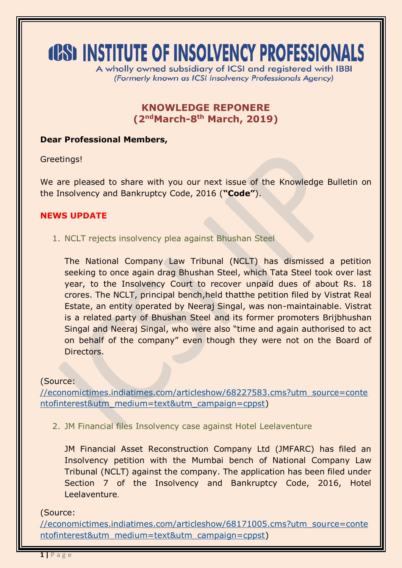# **(CS) INSTITUTE OF INSOLVENCY PROFESSIONALS**

A wholly owned subsidiary of ICSI and registered with IBBI (Formerly known as ICSI Insolvency Professionals Agency)

# **KNOWLEDGE REPONERE (2 ndMarch-8 th March, 2019)**

### **Dear Professional Members,**

Greetings!

We are pleased to share with you our next issue of the Knowledge Bulletin on the Insolvency and Bankruptcy Code, 2016 (**"Code"**).

# **NEWS UPDATE**

1. NCLT rejects insolvency plea against Bhushan Steel

The National Company Law Tribunal (NCLT) has dismissed a petition seeking to once again drag Bhushan Steel, which Tata Steel took over last year, to the Insolvency Court to recover unpaid dues of about Rs. 18 crores. The NCLT, principal bench,held thatthe petition filed by Vistrat Real Estate, an entity operated by Neeraj Singal, was non-maintainable. Vistrat is a related party of Bhushan Steel and its former promoters Brijbhushan Singal and Neeraj Singal, who were also "time and again authorised to act on behalf of the company" even though they were not on the Board of Directors.

# (Source:

[//economictimes.indiatimes.com/articleshow/68227583.cms?utm\\_source=conte](https://economictimes.indiatimes.com/articleshow/68227583.cms?utm_source=contentofinterest&utm_medium=text&utm_campaign=cppst) [ntofinterest&utm\\_medium=text&utm\\_campaign=cppst\)](https://economictimes.indiatimes.com/articleshow/68227583.cms?utm_source=contentofinterest&utm_medium=text&utm_campaign=cppst)

2. JM Financial files Insolvency case against Hotel Leelaventure

JM Financial Asset Reconstruction Company Ltd (JMFARC) has filed an Insolvency petition with the Mumbai bench of National Company Law Tribunal (NCLT) against the company. The application has been filed under Section 7 of the Insolvency and Bankruptcy Code, 2016, Hotel Leelaventure.

# (Source:

[//economictimes.indiatimes.com/articleshow/68171005.cms?utm\\_source=conte](https://economictimes.indiatimes.com/articleshow/68171005.cms?utm_source=contentofinterest&utm_medium=text&utm_campaign=cppst) [ntofinterest&utm\\_medium=text&utm\\_campaign=cppst\)](https://economictimes.indiatimes.com/articleshow/68171005.cms?utm_source=contentofinterest&utm_medium=text&utm_campaign=cppst)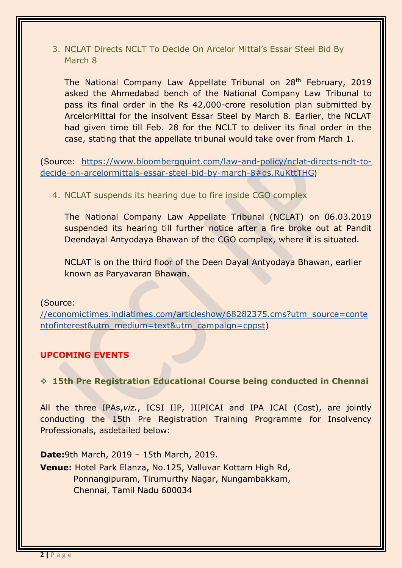# 3. NCLAT Directs NCLT To Decide On Arcelor Mittal's Essar Steel Bid By March 8

The National Company Law Appellate Tribunal on 28<sup>th</sup> February, 2019 asked the Ahmedabad bench of the National Company Law Tribunal to pass its final order in the Rs 42,000-crore resolution plan submitted by ArcelorMittal for the insolvent Essar Steel by March 8. Earlier, the NCLAT had given time till Feb. 28 for the NCLT to deliver its final order in the case, stating that the appellate tribunal would take over from March 1.

(Source: [https://www.bloombergquint.com/law-and-policy/nclat-directs-nclt-to](https://www.bloombergquint.com/law-and-policy/nclat-directs-nclt-to-decide-on-arcelormittals-essar-steel-bid-by-march-8#gs.RuKttTHG)[decide-on-arcelormittals-essar-steel-bid-by-march-8#gs.RuKttTHG](https://www.bloombergquint.com/law-and-policy/nclat-directs-nclt-to-decide-on-arcelormittals-essar-steel-bid-by-march-8#gs.RuKttTHG))

4. NCLAT suspends its hearing due to fire inside CGO complex

The National Company Law Appellate Tribunal (NCLAT) on 06.03.2019 suspended its hearing till further notice after a fire broke out at Pandit Deendayal Antyodaya Bhawan of the CGO complex, where it is situated.

NCLAT is on the third floor of the Deen Dayal Antyodaya Bhawan, earlier known as Paryavaran Bhawan.

# (Source:

[//economictimes.indiatimes.com/articleshow/68282375.cms?utm\\_source=conte](https://economictimes.indiatimes.com/articleshow/68282375.cms?utm_source=contentofinterest&utm_medium=text&utm_campaign=cppst) [ntofinterest&utm\\_medium=text&utm\\_campaign=cppst\)](https://economictimes.indiatimes.com/articleshow/68282375.cms?utm_source=contentofinterest&utm_medium=text&utm_campaign=cppst)

# **UPCOMING EVENTS**

# **15th Pre Registration Educational Course being conducted in Chennai**

All the three IPAs,*viz.*, ICSI IIP, IIIPICAI and IPA ICAI (Cost), are jointly conducting the 15th Pre Registration Training Programme for Insolvency Professionals, asdetailed below:

**Date:**9th March, 2019 – 15th March, 2019. **Venue:** Hotel Park Elanza, No.125, Valluvar Kottam High Rd, Ponnangipuram, Tirumurthy Nagar, Nungambakkam, Chennai, Tamil Nadu 600034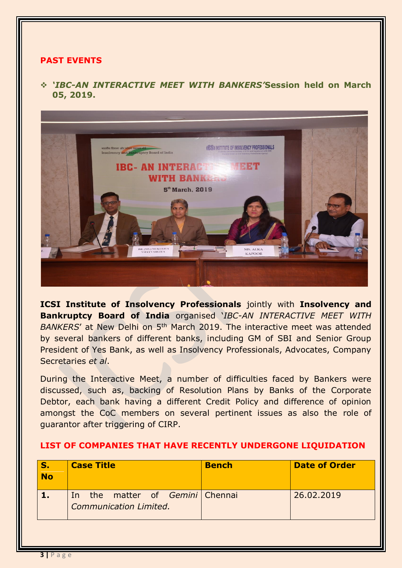## **PAST EVENTS**

 *'IBC-AN INTERACTIVE MEET WITH BANKERS'***Session held on March 05, 2019.**



**ICSI Institute of Insolvency Professionals** jointly with **Insolvency and Bankruptcy Board of India** organised '*IBC-AN INTERACTIVE MEET WITH*  BANKERS' at New Delhi on 5<sup>th</sup> March 2019. The interactive meet was attended by several bankers of different banks, including GM of SBI and Senior Group President of Yes Bank, as well as Insolvency Professionals, Advocates, Company Secretaries *et al*.

During the Interactive Meet, a number of difficulties faced by Bankers were discussed, such as, backing of Resolution Plans by Banks of the Corporate Debtor, each bank having a different Credit Policy and difference of opinion amongst the CoC members on several pertinent issues as also the role of guarantor after triggering of CIRP.

| S.<br><b>No</b> | <b>Case Title</b>                                         | <b>Bench</b> | <b>Date of Order</b> |
|-----------------|-----------------------------------------------------------|--------------|----------------------|
|                 | In the matter of Gemini Chennai<br>Communication Limited. |              | 26.02.2019           |
|                 |                                                           |              |                      |

#### **LIST OF COMPANIES THAT HAVE RECENTLY UNDERGONE LIQUIDATION**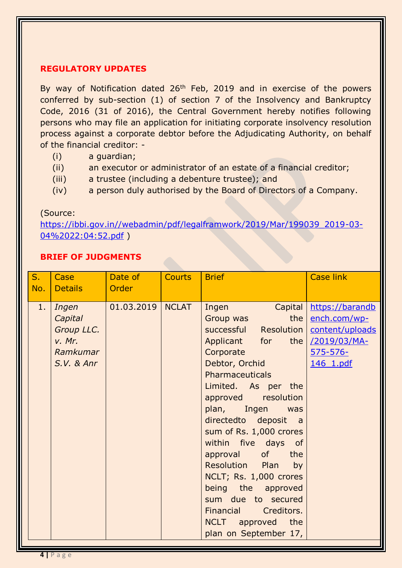#### **REGULATORY UPDATES**

By way of Notification dated 26<sup>th</sup> Feb, 2019 and in exercise of the powers conferred by sub-section (1) of section 7 of the Insolvency and Bankruptcy Code, 2016 (31 of 2016), the Central Government hereby notifies following persons who may file an application for initiating corporate insolvency resolution process against a corporate debtor before the Adjudicating Authority, on behalf of the financial creditor: -

- (i) a guardian;
- (ii) an executor or administrator of an estate of a financial creditor;
- (iii) a trustee (including a debenture trustee); and
- (iv) a person duly authorised by the Board of Directors of a Company.

#### (Source:

[https://ibbi.gov.in//webadmin/pdf/legalframwork/2019/Mar/199039\\_2019-03-](https://ibbi.gov.in/webadmin/pdf/legalframwork/2019/Mar/199039_2019-03-04%2022:04:52.pdf) [04%2022:04:52.pdf](https://ibbi.gov.in/webadmin/pdf/legalframwork/2019/Mar/199039_2019-03-04%2022:04:52.pdf) )

## **BRIEF OF JUDGMENTS**

| $S_{\cdot}$<br>No. | Case<br><b>Details</b>                                                 | Date of<br>Order | <b>Courts</b> | <b>Brief</b>                                                                                                                                                                                                                                                                                                                                                                                                                                                                                 | <b>Case link</b>                                                                                 |
|--------------------|------------------------------------------------------------------------|------------------|---------------|----------------------------------------------------------------------------------------------------------------------------------------------------------------------------------------------------------------------------------------------------------------------------------------------------------------------------------------------------------------------------------------------------------------------------------------------------------------------------------------------|--------------------------------------------------------------------------------------------------|
| 1.                 | Ingen<br>Capital<br>Group LLC.<br>V. Mr.<br>Ramkumar<br>$S.V.$ & $Anr$ | 01.03.2019       | <b>NCLAT</b>  | Ingen<br>Capital<br>the<br>Group was<br>successful Resolution<br>Applicant for<br>the  <br>Corporate<br>Debtor, Orchid<br><b>Pharmaceuticals</b><br>Limited. As per the<br>approved resolution<br>plan, Ingen<br>was<br>directedto deposit a<br>sum of Rs. 1,000 crores<br>within five days of<br>approval of<br>the<br>Resolution<br>Plan<br>by<br>NCLT; Rs. 1,000 crores<br>being the approved<br>sum due to secured<br>Financial Creditors.<br>NCLT approved the<br>plan on September 17, | https://barandb<br>ench.com/wp-<br>content/uploads<br>/2019/03/MA-<br>$575 - 576 -$<br>146 1.pdf |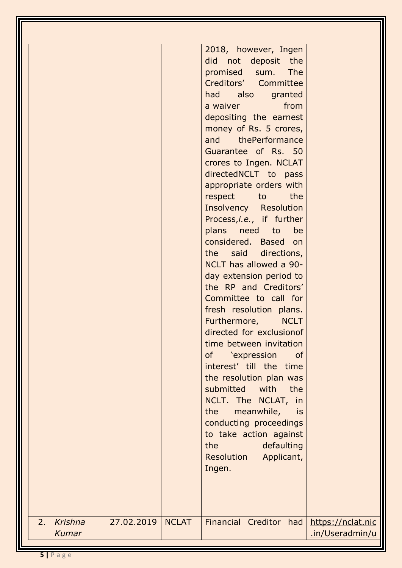|                               |            |              | 2018, however, Ingen<br>did not deposit the<br>promised sum. The<br>Creditors' Committee<br>had also<br>granted<br>from<br>a waiver and the state of the state of the state of the state of the state of the state of the state of the sta<br>depositing the earnest<br>money of Rs. 5 crores,<br>and thePerformance<br>Guarantee of Rs. 50<br>crores to Ingen. NCLAT<br>directedNCLT to pass<br>appropriate orders with<br>respect to the<br><b>Insolvency Resolution</b><br>Process,i.e., if further<br>plans need to<br>be<br>considered. Based on<br>the said directions,<br>NCLT has allowed a 90-<br>day extension period to<br>the RP and Creditors'<br>Committee to call for<br>fresh resolution plans.<br>Furthermore,<br><b>NCLT</b><br>directed for exclusionof<br>time between invitation<br>of 'expression<br><b>of</b><br>interest' till the time<br>the resolution plan was<br>submitted with<br>the<br>NCLT. The NCLAT, in<br>the<br>meanwhile,<br>is<br>conducting proceedings<br>to take action against<br>the<br>defaulting<br>Resolution Applicant, |                                      |
|-------------------------------|------------|--------------|-------------------------------------------------------------------------------------------------------------------------------------------------------------------------------------------------------------------------------------------------------------------------------------------------------------------------------------------------------------------------------------------------------------------------------------------------------------------------------------------------------------------------------------------------------------------------------------------------------------------------------------------------------------------------------------------------------------------------------------------------------------------------------------------------------------------------------------------------------------------------------------------------------------------------------------------------------------------------------------------------------------------------------------------------------------------------|--------------------------------------|
|                               |            |              | Ingen.                                                                                                                                                                                                                                                                                                                                                                                                                                                                                                                                                                                                                                                                                                                                                                                                                                                                                                                                                                                                                                                                  |                                      |
| 2.<br>Krishna<br><b>Kumar</b> | 27.02.2019 | <b>NCLAT</b> | Financial Creditor had                                                                                                                                                                                                                                                                                                                                                                                                                                                                                                                                                                                                                                                                                                                                                                                                                                                                                                                                                                                                                                                  | https://nclat.nic<br>.in/Useradmin/u |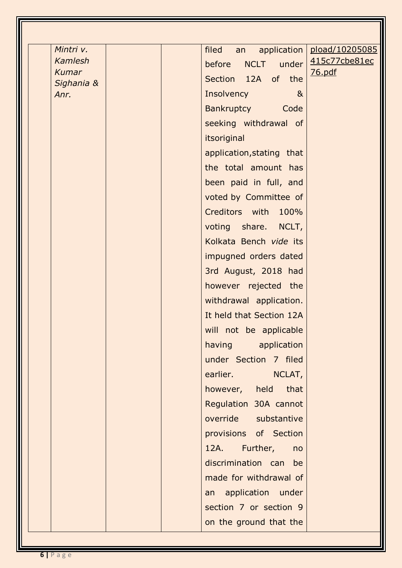| Mintri v.      | application  <br>filed<br>an        | pload/10205085 |
|----------------|-------------------------------------|----------------|
| <b>Kamlesh</b> | NCLT under<br>before                | 415c77cbe81ec  |
| <b>Kumar</b>   | Section 12A of the                  | <u>76.pdf</u>  |
| Sighania &     |                                     |                |
| Anr.           | <b>Insolvency</b><br>8 <sub>k</sub> |                |
|                | Bankruptcy Code                     |                |
|                | seeking withdrawal of               |                |
|                | itsoriginal                         |                |
|                | application, stating that           |                |
|                | the total amount has                |                |
|                | been paid in full, and              |                |
|                | voted by Committee of               |                |
|                | Creditors with 100%                 |                |
|                | voting share. NCLT,                 |                |
|                | Kolkata Bench vide its              |                |
|                | impugned orders dated               |                |
|                | 3rd August, 2018 had                |                |
|                | however rejected the                |                |
|                | withdrawal application.             |                |
|                | It held that Section 12A            |                |
|                | will not be applicable              |                |
|                | having application                  |                |
|                | under Section 7 filed               |                |
|                | earlier. NCLAT,                     |                |
|                | however, held that                  |                |
|                | Regulation 30A cannot               |                |
|                | override substantive                |                |
|                | provisions of Section               |                |
|                | 12A. Further,<br>no                 |                |
|                | discrimination can be               |                |
|                | made for withdrawal of              |                |
|                |                                     |                |
|                | an application under                |                |
|                | section 7 or section 9              |                |
|                | on the ground that the              |                |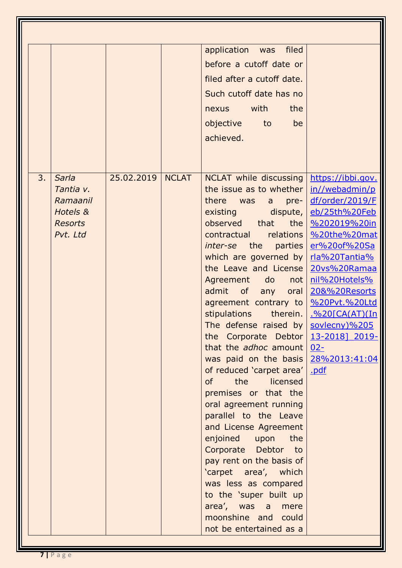|    |                |            |              | application was<br>filed                                                   |                       |
|----|----------------|------------|--------------|----------------------------------------------------------------------------|-----------------------|
|    |                |            |              | before a cutoff date or                                                    |                       |
|    |                |            |              | filed after a cutoff date.                                                 |                       |
|    |                |            |              | Such cutoff date has no                                                    |                       |
|    |                |            |              | with<br>the<br>nexus                                                       |                       |
|    |                |            |              | objective<br>be<br>to                                                      |                       |
|    |                |            |              | achieved.                                                                  |                       |
|    |                |            |              |                                                                            |                       |
|    |                |            |              |                                                                            |                       |
| 3. | Sarla          | 25.02.2019 | <b>NCLAT</b> | NCLAT while discussing                                                     | https://ibbi.gov.     |
|    | Tantia v.      |            |              | the issue as to whether                                                    | in//webadmin/p        |
|    | Ramaanil       |            |              | there<br>$pre-$<br>was<br>$a -$                                            | df/order/2019/F       |
|    | Hotels &       |            |              | existing dispute,                                                          | eb/25th%20Feb         |
|    | <b>Resorts</b> |            |              | observed that<br>the $\vert$                                               | %202019%20in          |
|    | Pvt. Ltd       |            |              | relations  <br>contractual                                                 | %20the%20mat          |
|    |                |            |              | <i>inter-se</i> the parties                                                | er%20of%20Sa          |
|    |                |            |              | which are governed by                                                      | rla%20Tantia%         |
|    |                |            |              | the Leave and License                                                      | 20vs%20Ramaa          |
|    |                |            |              | Agreement<br>do<br>not                                                     | nil%20Hotels%         |
|    |                |            |              | admit of any<br>oral                                                       | 20&%20Resorts         |
|    |                |            |              | agreement contrary to                                                      | %20Pvt.%20Ltd         |
|    |                |            |              | stipulations<br>therein.                                                   | <u>.%20[CA(AT)(In</u> |
|    |                |            |              | The defense raised by $\frac{1}{2}$ soviecny)%205                          |                       |
|    |                |            |              | the Corporate Debtor $13-2018$ 2019-                                       |                       |
|    |                |            |              | that the <i>adhoc</i> amount $02$ -<br>was paid on the basis 28%2013:41:04 |                       |
|    |                |            |              | of reduced 'carpet area'   .pdf                                            |                       |
|    |                |            |              | of<br>the licensed                                                         |                       |
|    |                |            |              | premises or that the                                                       |                       |
|    |                |            |              | oral agreement running                                                     |                       |
|    |                |            |              | parallel to the Leave                                                      |                       |
|    |                |            |              | and License Agreement                                                      |                       |
|    |                |            |              | enjoined upon the                                                          |                       |
|    |                |            |              | Corporate Debtor to                                                        |                       |
|    |                |            |              | pay rent on the basis of                                                   |                       |
|    |                |            |              | 'carpet area', which                                                       |                       |
|    |                |            |              | was less as compared                                                       |                       |
|    |                |            |              | to the 'super built up                                                     |                       |
|    |                |            |              | area', was a<br>mere                                                       |                       |
|    |                |            |              | moonshine and could                                                        |                       |
|    |                |            |              | not be entertained as a                                                    |                       |
|    |                |            |              |                                                                            |                       |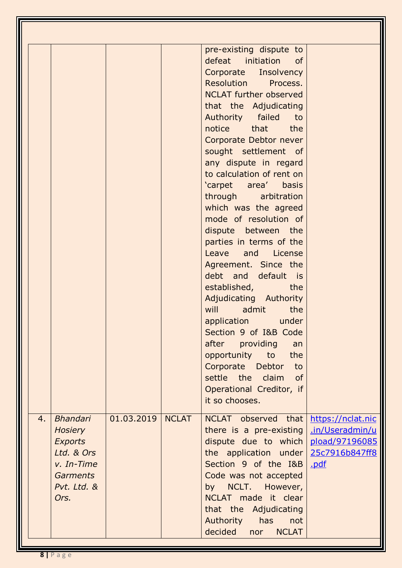|    |                                                                                                                    |            |              | pre-existing dispute to<br>defeat initiation of<br>Corporate Insolvency<br>Resolution Process.<br><b>NCLAT further observed</b><br>that the Adjudicating<br>Authority failed<br>to<br>notice that the<br>Corporate Debtor never<br>sought settlement of<br>any dispute in regard<br>to calculation of rent on<br>'carpet area' basis<br>through arbitration<br>which was the agreed<br>mode of resolution of<br>dispute between the<br>parties in terms of the<br>Leave and License<br>Agreement. Since the<br>debt and default is<br>established,<br>the<br>Adjudicating Authority<br>will<br>admit<br>the<br>application under<br>Section 9 of I&B Code<br>after providing<br>an<br>the<br>opportunity to<br>Corporate Debtor to<br>settle the claim<br>of<br>Operational Creditor, if<br>it so chooses. |                                                                                  |
|----|--------------------------------------------------------------------------------------------------------------------|------------|--------------|------------------------------------------------------------------------------------------------------------------------------------------------------------------------------------------------------------------------------------------------------------------------------------------------------------------------------------------------------------------------------------------------------------------------------------------------------------------------------------------------------------------------------------------------------------------------------------------------------------------------------------------------------------------------------------------------------------------------------------------------------------------------------------------------------------|----------------------------------------------------------------------------------|
| 4. | <b>Bhandari</b><br><b>Hosiery</b><br><b>Exports</b><br>Ltd. & Ors<br>v. In-Time<br>Garments<br>Pvt. Ltd. &<br>Ors. | 01.03.2019 | <b>NCLAT</b> | NCLAT observed that<br>there is a pre-existing<br>dispute due to which<br>the application under<br>Section 9 of the I&B<br>Code was not accepted<br>by NCLT. However,<br>NCLAT made it clear<br>that the Adjudicating<br>Authority<br>has<br>not<br>decided nor NCLAT                                                                                                                                                                                                                                                                                                                                                                                                                                                                                                                                      | https://nclat.nic<br>.in/Useradmin/u<br>pload/97196085<br>25c7916b847ff8<br>.pdf |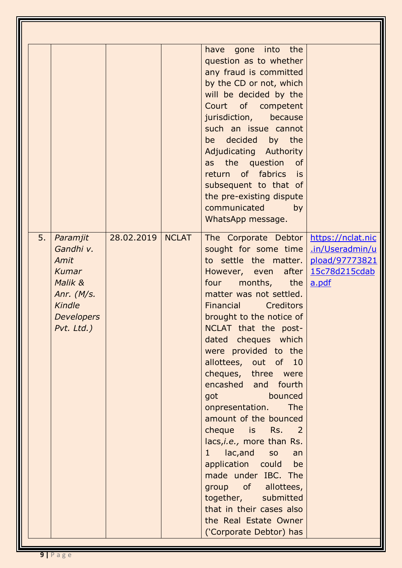|    |                                                                                                                              |            |              | have gone into the<br>question as to whether<br>any fraud is committed<br>by the CD or not, which<br>will be decided by the<br>Court of competent<br>jurisdiction,<br>because<br>such an issue cannot<br>be decided by the<br>Adjudicating Authority<br>as the question<br>of<br>return of fabrics is<br>subsequent to that of<br>the pre-existing dispute<br>communicated<br>by<br>WhatsApp message.                                                                                                                                                                                                                                                                                                                                                                                            |                                                                                  |
|----|------------------------------------------------------------------------------------------------------------------------------|------------|--------------|--------------------------------------------------------------------------------------------------------------------------------------------------------------------------------------------------------------------------------------------------------------------------------------------------------------------------------------------------------------------------------------------------------------------------------------------------------------------------------------------------------------------------------------------------------------------------------------------------------------------------------------------------------------------------------------------------------------------------------------------------------------------------------------------------|----------------------------------------------------------------------------------|
| 5. | Paramjit<br>Gandhi v.<br>Amit<br><b>Kumar</b><br>Malik &<br>Anr. $(M/s.$<br><b>Kindle</b><br><b>Developers</b><br>Pvt. Ltd.) | 28.02.2019 | <b>NCLAT</b> | The Corporate Debtor<br>sought for some time<br>to settle the matter.<br>However, even after<br>four<br>months, the<br>matter was not settled.<br>Financial Creditors<br>brought to the notice of<br>NCLAT that the post-<br>dated cheques which<br>were provided to the<br>allottees, out of 10<br>cheques, three were<br>encashed and fourth<br>bounced<br>got and the state of the state of the state of the state of the state of the state of the state of the state o<br>onpresentation.<br>The<br>amount of the bounced<br>cheque is Rs. 2<br>lacs, i.e., more than Rs.<br>lac, and<br>$1 \quad$<br>SO<br>an<br>application could be<br>made under IBC. The<br>group of allottees,<br>together, submitted<br>that in their cases also<br>the Real Estate Owner<br>('Corporate Debtor) has | https://nclat.nic<br>.in/Useradmin/u<br>pload/97773821<br>15c78d215cdab<br>a.pdf |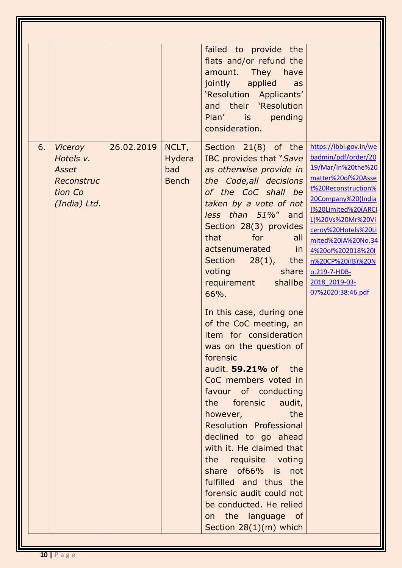|    |                                                                               |            |                                        | failed to provide the<br>flats and/or refund the<br>amount. They have<br>jointly applied<br>as<br>'Resolution Applicants'<br>and their 'Resolution<br>Plan' is<br>pending<br>consideration.                                                                                                                                                                                                                                                                                                                                                                                                                                                                                                                                                                                                                                                                 |                                                                                                                                                                                                                                                                                                                                 |
|----|-------------------------------------------------------------------------------|------------|----------------------------------------|-------------------------------------------------------------------------------------------------------------------------------------------------------------------------------------------------------------------------------------------------------------------------------------------------------------------------------------------------------------------------------------------------------------------------------------------------------------------------------------------------------------------------------------------------------------------------------------------------------------------------------------------------------------------------------------------------------------------------------------------------------------------------------------------------------------------------------------------------------------|---------------------------------------------------------------------------------------------------------------------------------------------------------------------------------------------------------------------------------------------------------------------------------------------------------------------------------|
| 6. | <b>Viceroy</b><br>Hotels v.<br>Asset<br>Reconstruc<br>tion Co<br>(India) Ltd. | 26.02.2019 | NCLT,<br>Hydera<br>bad<br><b>Bench</b> | Section 21(8) of the<br>IBC provides that "Save<br>as otherwise provide in<br>the Code, all decisions<br>of the CoC shall be<br>taken by a vote of not<br>less than 51%" and<br>Section 28(3) provides<br>that<br>for<br>all<br>actsenumerated<br>in.<br>Section $28(1)$ ,<br>the<br>voting<br>share<br>shallbe<br>requirement<br>66%.<br>In this case, during one<br>of the CoC meeting, an<br>item for consideration<br>was on the question of<br>forensic<br>audit. 59.21% of the<br>CoC members voted in<br>favour of conducting<br>the forensic<br>audit,<br>the<br>however,<br><b>Resolution Professional</b><br>declined to go ahead<br>with it. He claimed that<br>the requisite voting<br>share of66% is<br>not<br>fulfilled and thus the<br>forensic audit could not<br>be conducted. He relied<br>on the language of<br>Section $28(1)(m)$ which | https://ibbi.gov.in/we<br>badmin/pdf/order/20<br>19/Mar/In%20the%20<br>matter%20of%20Asse<br>t%20Reconstruction%<br>20Company%20(India<br>)%20Limited%20(ARCI<br>L)%20Vs%20Mr%20Vi<br>ceroy%20Hotels%20Li<br>mited%20IA%20No.34<br>4%20of%202018%20I<br>n%20CP%20(IB)%20N<br>o.219-7-HDB-<br>2018 2019-03-<br>07%2020:38:46.pdf |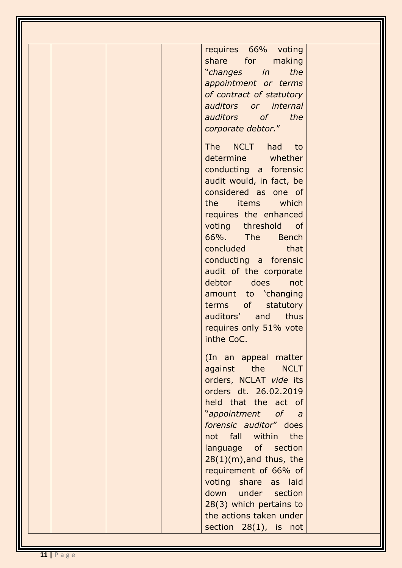| requires 66% voting<br>share for<br>making<br>"changes in<br>the<br>appointment or terms<br>of contract of statutory<br>auditors or internal<br>auditors of the<br>corporate debtor."<br>The NCLT had to<br>determine whether<br>conducting a forensic<br>audit would, in fact, be<br>considered as one of<br>the items which<br>requires the enhanced<br>voting threshold of<br>66%. The<br><b>Bench</b><br>concluded that<br>conducting a forensic<br>audit of the corporate<br>debtor does<br>not<br>amount to 'changing<br>terms of<br>statutory |
|------------------------------------------------------------------------------------------------------------------------------------------------------------------------------------------------------------------------------------------------------------------------------------------------------------------------------------------------------------------------------------------------------------------------------------------------------------------------------------------------------------------------------------------------------|
| auditors' and<br><b>thus</b><br>requires only 51% vote<br>inthe CoC.<br>(In an appeal matter<br>against the<br><b>NCLT</b><br>orders, NCLAT vide its<br>orders dt. 26.02.2019<br>held that the act of<br>"appointment of a<br>forensic auditor" does<br>not fall within the<br>language of section<br>$28(1)(m)$ , and thus, the<br>requirement of 66% of<br>voting share as laid<br>down under section<br>28(3) which pertains to<br>the actions taken under<br>section $28(1)$ , is not                                                            |

11

l